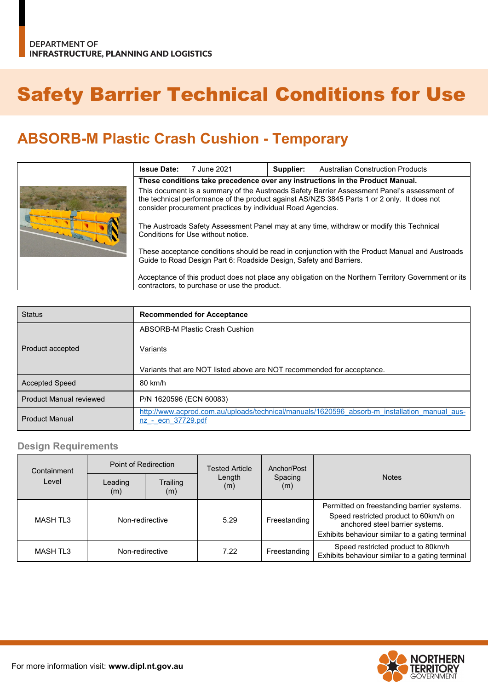# Safety Barrier Technical Conditions for Use

# **ABSORB-M Plastic Crash Cushion - Temporary**

|  | <b>Issue Date:</b>                                                                                                                                                                                                                                        | 7 June 2021 | Supplier: | <b>Australian Construction Products</b> |  |
|--|-----------------------------------------------------------------------------------------------------------------------------------------------------------------------------------------------------------------------------------------------------------|-------------|-----------|-----------------------------------------|--|
|  | These conditions take precedence over any instructions in the Product Manual.                                                                                                                                                                             |             |           |                                         |  |
|  | This document is a summary of the Austroads Safety Barrier Assessment Panel's assessment of<br>the technical performance of the product against AS/NZS 3845 Parts 1 or 2 only. It does not<br>consider procurement practices by individual Road Agencies. |             |           |                                         |  |
|  | The Austroads Safety Assessment Panel may at any time, withdraw or modify this Technical<br>Conditions for Use without notice.                                                                                                                            |             |           |                                         |  |
|  | These acceptance conditions should be read in conjunction with the Product Manual and Austroads<br>Guide to Road Design Part 6: Roadside Design, Safety and Barriers.                                                                                     |             |           |                                         |  |
|  | Acceptance of this product does not place any obligation on the Northern Territory Government or its<br>contractors, to purchase or use the product.                                                                                                      |             |           |                                         |  |

| <b>Status</b>                  | <b>Recommended for Acceptance</b>                                                                                  |  |  |  |
|--------------------------------|--------------------------------------------------------------------------------------------------------------------|--|--|--|
|                                | ABSORB-M Plastic Crash Cushion                                                                                     |  |  |  |
| Product accepted               | Variants                                                                                                           |  |  |  |
|                                | Variants that are NOT listed above are NOT recommended for acceptance.                                             |  |  |  |
| Accepted Speed                 | 80 km/h                                                                                                            |  |  |  |
| <b>Product Manual reviewed</b> | P/N 1620596 (ECN 60083)                                                                                            |  |  |  |
| <b>Product Manual</b>          | http://www.acprod.com.au/uploads/technical/manuals/1620596 absorb-m installation manual aus-<br>nz - ecn 37729.pdf |  |  |  |

#### **Design Requirements**

| Containment<br>Level | Point of Redirection |                 | Tested Article | Anchor/Post    |                                                                                                                                                                           |
|----------------------|----------------------|-----------------|----------------|----------------|---------------------------------------------------------------------------------------------------------------------------------------------------------------------------|
|                      | Leading<br>(m)       | Trailing<br>(m) | Length<br>(m)  | Spacing<br>(m) | <b>Notes</b>                                                                                                                                                              |
| MASH TL3             | Non-redirective      |                 | 5.29           | Freestanding   | Permitted on freestanding barrier systems.<br>Speed restricted product to 60km/h on<br>anchored steel barrier systems.<br>Exhibits behaviour similar to a gating terminal |
| <b>MASH TL3</b>      | Non-redirective      |                 | 7.22           | Freestanding   | Speed restricted product to 80km/h<br>Exhibits behaviour similar to a gating terminal                                                                                     |